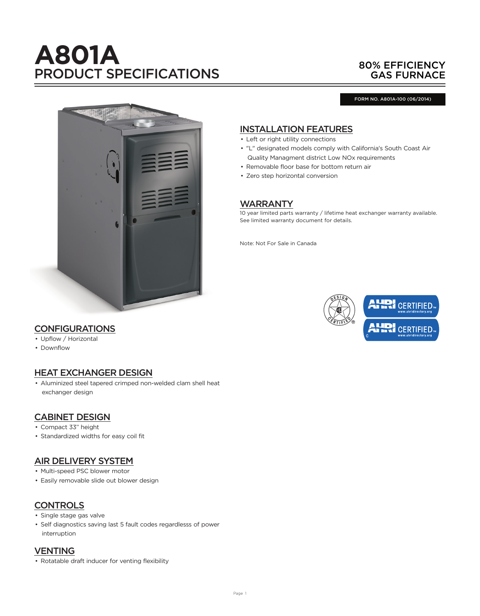# **A801A** PRODUCT SPECIFICATIONS

# 80% EFFICIENCY GAS FURNACE

FORM NO. A801A-100 (06/2014)



## INSTALLATION FEATURES

- Left or right utility connections
- "L" designated models comply with California's South Coast Air Quality Managment district Low NOx requirements
- Removable floor base for bottom return air
- Zero step horizontal conversion

## **WARRANTY**

10 year limited parts warranty / lifetime heat exchanger warranty available. See limited warranty document for details.

Note: Not For Sale in Canada



## **CONFIGURATIONS**

- Upflow / Horizontal
- Downflow

## HEAT EXCHANGER DESIGN

• Aluminized steel tapered crimped non-welded clam shell heat exchanger design

## CABINET DESIGN

- Compact 33" height
- Standardized widths for easy coil fit

## AIR DELIVERY SYSTEM

- Multi-speed PSC blower motor
- Easily removable slide out blower design

# **CONTROLS**

- Single stage gas valve
- Self diagnostics saving last 5 fault codes regardlesss of power interruption

#### **VENTING**

• Rotatable draft inducer for venting flexibility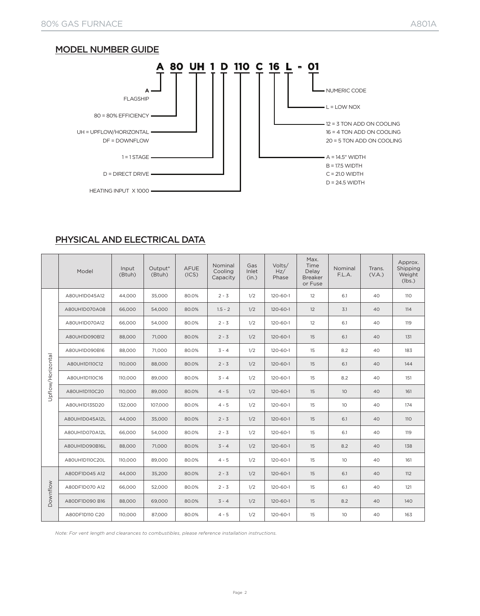# MODEL NUMBER GUIDE



# PHYSICAL AND ELECTRICAL DATA

|                   | Model                    | Input<br>(Btuh) | Output*<br>(Btuh) | <b>AFUE</b><br>(ICS) | Nominal<br>Cooling<br>Capacity | Gas<br>Inlet<br>(in.) | Volts/<br>Hz/<br>Phase | Max.<br>Time<br>Delay<br><b>Breaker</b><br>or Fuse | Nominal<br>F.L.A. | Trans.<br>(V.A.) | Approx.<br>Shipping<br>Weight<br>(lbs.) |
|-------------------|--------------------------|-----------------|-------------------|----------------------|--------------------------------|-----------------------|------------------------|----------------------------------------------------|-------------------|------------------|-----------------------------------------|
|                   | A80UH1D045A12            | 44.000          | 35,000            | 80.0%                | $2 - 3$                        | 1/2                   | 120-60-1               | 12                                                 | 6.1               | 40               | 110                                     |
|                   | A80UH1D070A08            | 66,000          | 54,000            | 80.0%                | $1.5 - 2$                      | 1/2                   | 120-60-1               | 12                                                 | 3.1               | 40               | 114                                     |
|                   | A80UH1D070A12            | 66,000          | 54.000            | 80.0%                | $2 - 3$                        | 1/2                   | $120 - 60 - 1$         | 12                                                 | 6.1               | 40               | 119                                     |
|                   | A80UH1D090B12            | 88,000          | 71,000            | 80.0%                | $2 - 3$                        | 1/2                   | $120 - 60 - 1$         | 15                                                 | 6.1               | 40               | 131                                     |
|                   | A80UH1D090B16            | 88,000          | 71,000            | 80.0%                | $3 - 4$                        | 1/2                   | 120-60-1               | 15                                                 | 8.2               | 40               | 183                                     |
|                   | A80UH1D110C12            | 110,000         | 88,000            | 80.0%                | $2 - 3$                        | 1/2                   | $120 - 60 - 1$         | 15                                                 | 6.1               | 40               | 144                                     |
|                   | A80UH1D110C16            | 110,000         | 89,000            | 80.0%                | $3 - 4$                        | 1/2                   | 120-60-1               | 15                                                 | 8.2               | 40               | 151                                     |
| Upflow/Horizontal | A80UH1D110C20            | 110,000         | 89,000            | 80.0%                | $4 - 5$                        | 1/2                   | $120 - 60 - 1$         | 15                                                 | 10 <sup>°</sup>   | 40               | 161                                     |
|                   | A80UH1D135D20            | 132,000         | 107,000           | 80.0%                | $4 - 5$                        | 1/2                   | 120-60-1               | 15                                                 | 10                | 40               | 174                                     |
|                   | A80UH1D045A12L           | 44,000          | 35,000            | 80.0%                | $2 - 3$                        | 1/2                   | $120 - 60 - 1$         | 15                                                 | 6.1               | 40               | 110                                     |
|                   | A80UH1D070A12L           | 66,000          | 54,000            | 80.0%                | $2 - 3$                        | 1/2                   | $120 - 60 - 1$         | 15                                                 | 6.1               | 40               | 119                                     |
|                   | A80UH1D090B16L<br>88,000 |                 | 71,000            | 80.0%                | $3 - 4$                        | 1/2                   | 120-60-1               | 15                                                 | 8.2               | 40               | 138                                     |
|                   | A80UH1D110C20L           | 110,000         | 89,000            | 80.0%                | $4 - 5$                        | 1/2                   | 120-60-1               | 15                                                 | 10 <sup>°</sup>   | 40               | 161                                     |
|                   | A80DF1D045 A12           | 44.000          | 35,200            | 80.0%                | $2 - 3$                        | 1/2                   | $120 - 60 - 1$         | 15                                                 | 6.1               | 40               | 112                                     |
| Downflow          | A80DF1D070 A12           | 66,000          | 52,000            | 80.0%                | $2 - 3$                        | 1/2                   | 120-60-1               | 15                                                 | 6.1               | 40               | 121                                     |
|                   | A80DF1D090 B16           | 88,000          | 69,000            | 80.0%                | $3 - 4$                        | 1/2                   | $120 - 60 - 1$         | 15                                                 | 8.2               | 40               | 140                                     |
|                   | A80DF1D110 C20           | 110,000         | 87,000            | 80.0%                | $4 - 5$                        | 1/2                   | $120 - 60 - 1$         | 15                                                 | 10 <sup>°</sup>   | 40               | 163                                     |

*Note: For vent length and clearances to combustibles, please reference installation instructions.*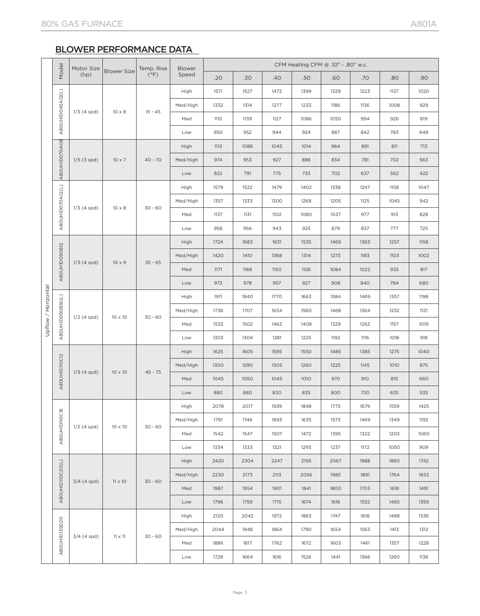# BLOWER PERFORMANCE DATA

|                     | Model            | Motor Size<br>(hp) | <b>Blower Size</b> | Temp. Rise<br>$(^{\circ}F)$ | <b>Blower</b> | CFM Heating CFM @ .10" - .80" w.c. |      |      |      |      |      |      |      |
|---------------------|------------------|--------------------|--------------------|-----------------------------|---------------|------------------------------------|------|------|------|------|------|------|------|
|                     |                  |                    |                    |                             | Speed         | .20                                | .30  | .40  | .50  | .60  | .70  | .80  | .90  |
|                     |                  |                    |                    |                             | High          | 1571                               | 1527 | 1472 | 1399 | 1329 | 1223 | 1137 | 1020 |
|                     | A8OUHIDO45A12(L) | $1/3$ (4 spd)      |                    |                             | Med/High      | 1332                               | 1314 | 1277 | 1233 | 1186 | 1136 | 1008 | 929  |
|                     |                  |                    | $10 \times 8$      | $15 - 45$                   | Med           | 1115                               | 1139 | 1127 | 1086 | 1050 | 994  | 926  | 819  |
|                     |                  |                    |                    |                             | Low           | 950                                | 952  | 944  | 924  | 887  | 842  | 783  | 648  |
|                     |                  | $1/5$ (3 spd)      |                    |                             | High          | 1113                               | 1086 | 1045 | 1014 | 964  | 891  | 811  | 713  |
|                     |                  |                    | $10 \times 7$      | $40 - 70$                   | Med/High      | 974                                | 953  | 927  | 886  | 834  | 781  | 702  | 563  |
|                     | A8OUHIDO70A08    |                    |                    |                             | Low           | 822                                | 791  | 775  | 733  | 702  | 637  | 562  | 422  |
|                     |                  |                    |                    |                             | High          | 1579                               | 1522 | 1479 | 1402 | 1338 | 1247 | 1158 | 1047 |
|                     | A8OUHIDO70A12(L) |                    |                    |                             | Med/High      | 1357                               | 1333 | 1300 | 1268 | 1205 | 1125 | 1045 | 942  |
|                     |                  | $1/3$ (4 spd)      | $10 \times 8$      | $30 - 60$                   | Med           | 1137                               | 1131 | 1102 | 1080 | 1037 | 977  | 913  | 828  |
|                     |                  |                    |                    |                             | Low           | 958                                | 956  | 943  | 925  | 879  | 837  | 777  | 725  |
|                     |                  |                    |                    | $35 - 65$                   | High          | 1724                               | 1683 | 1631 | 1535 | 1469 | 1363 | 1257 | 1158 |
| Upflow / Horizontal | A8OUHID090B12    | $1/3$ (4 spd)      | $10 \times 9$      |                             | Med/High      | 1420                               | 1410 | 1368 | 1314 | 1273 | 1183 | 1103 | 1002 |
|                     |                  |                    |                    |                             | Med           | 1171                               | 1168 | 1150 | 1126 | 1084 | 1022 | 935  | 817  |
|                     |                  |                    |                    |                             | Low           | 973                                | 978  | 957  | 927  | 908  | 840  | 784  | 680  |
|                     |                  | $1/2$ (4 spd)      | 10 x 10            | $30 - 60$                   | High          | 1911                               | 1840 | 1770 | 1663 | 1584 | 1469 | 1357 | 1198 |
|                     |                  |                    |                    |                             | Med/High      | 1738                               | 1707 | 1634 | 1560 | 1468 | 1364 | 1232 | 1121 |
|                     | A8OUHIDO9OB16(L) |                    |                    |                             | Med           | 1533                               | 1502 | 1462 | 1408 | 1329 | 1262 | 1157 | 1019 |
|                     |                  |                    |                    |                             | Low           | 1303                               | 1304 | 1281 | 1225 | 1192 | 1116 | 1018 | 918  |
|                     |                  |                    | $10 \times 10$     | $45 - 75$                   | High          | 1625                               | 1605 | 1595 | 1550 | 1485 | 1385 | 1275 | 1040 |
|                     |                  | $1/3$ (4 spd)      |                    |                             | Med/High      | 1300                               | 1290 | 1305 | 1260 | 1225 | 1145 | 1010 | 875  |
|                     | A80UHID110C12    |                    |                    |                             | Med           | 1045                               | 1050 | 1045 | 1010 | 970  | 910  | 815  | 660  |
|                     |                  |                    |                    |                             | Low           | 880                                | 880  | 830  | 835  | 800  | 730  | 635  | 535  |
|                     |                  |                    |                    |                             | High          | 2078                               | 2017 | 1939 | 1848 | 1775 | 1679 | 1559 | 1425 |
|                     | A8OUHID110C16    |                    |                    |                             | Med/High      | 1791                               | 1746 | 1693 | 1635 | 1573 | 1469 | 1349 | 1192 |
|                     |                  | $1/2$ (4 spd)      | 10 x 10            | $30 - 60$                   | Med           | 1542                               | 1547 | 1507 | 1472 | 1395 | 1322 | 1203 | 1060 |
|                     |                  |                    |                    |                             | Low           | 1334                               | 1333 | 1321 | 1293 | 1237 | 1172 | 1050 | 909  |
|                     |                  |                    |                    |                             | High          | 2420                               | 2304 | 2247 | 2156 | 2067 | 1988 | 1890 | 1742 |
|                     | A80UHIDI10C20(L) |                    | $11 \times 10$     | $30 - 60$                   | Med/High      | 2230                               | 2173 | 2113 | 2056 | 1985 | 1891 | 1764 | 1653 |
|                     |                  | $3/4$ (4 spd)      |                    |                             | Med           | 1987                               | 1954 | 1901 | 1841 | 1800 | 1703 | 1618 | 1491 |
|                     |                  |                    |                    |                             | Low           | 1796                               | 1759 | 1715 | 1674 | 1616 | 1552 | 1465 | 1359 |
|                     |                  |                    |                    |                             | High          | 2120                               | 2042 | 1972 | 1863 | 1747 | 1618 | 1488 | 1336 |
|                     |                  |                    |                    |                             | Med/High      | 2044                               | 1948 | 1864 | 1790 | 1654 | 1563 | 1413 | 1312 |
| A8OUHID135D20       |                  | $3/4$ (4 spd)      | $11 \times 11$     | $30 - 60$                   | Med           | 1886                               | 1817 | 1762 | 1672 | 1603 | 1461 | 1357 | 1228 |
|                     |                  |                    |                    |                             | Low           | 1728                               | 1664 | 1616 | 1526 | 1441 | 1366 | 1260 | 1136 |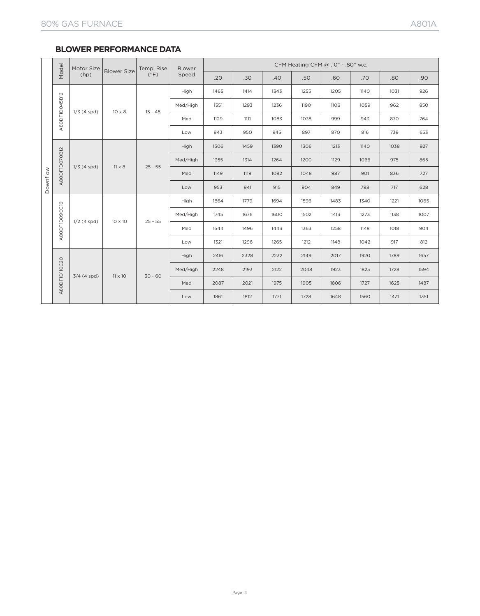#### **BLOWER PERFORMANCE DATA**

| Downflow | Model         | Motor Size    | <b>Blower Size</b> | Temp. Rise<br>$(^{\circ}F)$ | <b>Blower</b> |      | CFM Heating CFM @ .10" - .80" w.c. |      |      |      |      |      |      |
|----------|---------------|---------------|--------------------|-----------------------------|---------------|------|------------------------------------|------|------|------|------|------|------|
|          |               | (hp)          |                    |                             | Speed         | .20  | .30                                | .40  | .50  | .60  | .70  | .80  | .90  |
|          |               |               |                    | $15 - 45$                   | High          | 1465 | 1414                               | 1343 | 1255 | 1205 | 1140 | 1031 | 926  |
|          |               |               |                    |                             | Med/High      | 1351 | 1293                               | 1236 | 1190 | 1106 | 1059 | 962  | 850  |
|          | A8ODF1D045B12 | $1/3$ (4 spd) | $10 \times 8$      |                             | Med           | 1129 | 1111                               | 1083 | 1038 | 999  | 943  | 870  | 764  |
|          |               |               |                    |                             | Low           | 943  | 950                                | 945  | 897  | 870  | 816  | 739  | 653  |
|          |               |               |                    | $25 - 55$                   | High          | 1506 | 1459                               | 1390 | 1306 | 1213 | 1140 | 1038 | 927  |
|          | A80DF1D070B12 |               | $11 \times 8$      |                             | Med/High      | 1355 | 1314                               | 1264 | 1200 | 1129 | 1066 | 975  | 865  |
|          |               | $1/3$ (4 spd) |                    |                             | Med           | 1149 | 1119                               | 1082 | 1048 | 987  | 901  | 836  | 727  |
|          |               |               |                    |                             | Low           | 953  | 941                                | 915  | 904  | 849  | 798  | 717  | 628  |
|          |               |               |                    |                             | High          | 1864 | 1779                               | 1694 | 1596 | 1483 | 1340 | 1221 | 1065 |
|          | A80DF1D090C16 |               |                    |                             | Med/High      | 1745 | 1676                               | 1600 | 1502 | 1413 | 1273 | 1138 | 1007 |
|          |               | $1/2$ (4 spd) | 10 x 10            | $25 - 55$                   | Med           | 1544 | 1496                               | 1443 | 1363 | 1258 | 1148 | 1018 | 904  |
|          |               |               |                    |                             | Low           | 1321 | 1296                               | 1265 | 1212 | 1148 | 1042 | 917  | 812  |
|          |               |               | $11 \times 10$     | $30 - 60$                   | High          | 2416 | 2328                               | 2232 | 2149 | 2017 | 1920 | 1789 | 1657 |
|          |               |               |                    |                             | Med/High      | 2248 | 2193                               | 2122 | 2048 | 1923 | 1825 | 1728 | 1594 |
|          | A8ODF1D110C20 | $3/4$ (4 spd) |                    |                             | Med           | 2087 | 2021                               | 1975 | 1905 | 1806 | 1727 | 1625 | 1487 |
|          |               |               |                    |                             | Low           | 1861 | 1812                               | 1771 | 1728 | 1648 | 1560 | 1471 | 1351 |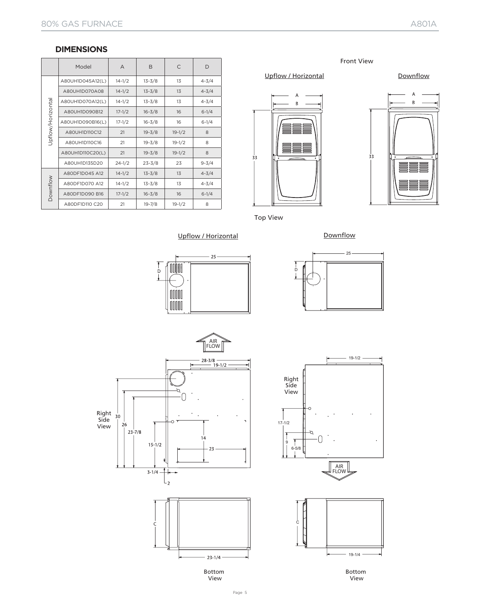#### **DIMENSIONS**

|                  | Model            | $\overline{A}$ | B          | C          | D         |  |
|------------------|------------------|----------------|------------|------------|-----------|--|
|                  | A80UH1D045A12(L) | $14 - 1/2$     | $13 - 3/8$ | 13         | $4 - 3/4$ |  |
|                  | A80UH1D070A08    | $14 - 1/2$     | $13 - 3/8$ | 13         | $4 - 3/4$ |  |
|                  | A80UH1D070A12(L) | $14 - 1/2$     | $13 - 3/8$ | 13         | $4 - 3/4$ |  |
| Jpflow/Horizonta | A80UH1D090B12    | $17 - 1/2$     | $16 - 3/8$ | 16         | $6 - 1/4$ |  |
|                  | A80UH1D090B16(L) | $17 - 1/2$     | $16 - 3/8$ | 16         | $6 - 1/4$ |  |
|                  | A80UH1D110C12    | 21             | $19 - 3/8$ | $19 - 1/2$ | 8         |  |
|                  | A80UH1D110C16    | 21             | $19 - 3/8$ | $19 - 1/2$ | 8         |  |
|                  | A80UH1D110C20(L) | 21             | $19 - 3/8$ | $19 - 1/2$ | 8         |  |
|                  | A80UH1D135D20    | $24 - 1/2$     | $23 - 3/8$ | 23         | $9 - 3/4$ |  |
|                  | A80DF1D045 A12   | $14 - 1/2$     | $13 - 3/8$ | 13         | $4 - 3/4$ |  |
|                  | A80DF1D070 A12   | $14 - 1/2$     | $13 - 3/8$ | 13         | $4 - 3/4$ |  |
| <b>Downflow</b>  | A80DF1D090 B16   | $17 - 1/2$     | $16 - 3/8$ | 16         | $6 - 1/4$ |  |
|                  | A80DF1D110 C20   | 21             | $19 - 7/8$ | $19 - 1/2$ | 8         |  |

Front View

#### Upflow / Horizontal Downflow







Top View

Upflow / Horizontal







 $19-1/2$ 





Bottom View



Right Side





Bottom View